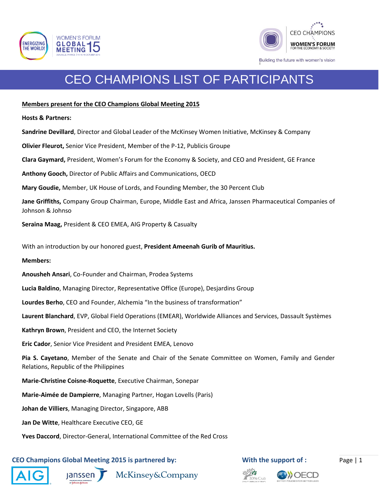



# CEO CHAMPIONS LIST OF PARTICIPANTS

### **Members present for the CEO Champions Global Meeting 2015**

**Hosts & Partners:**

**Sandrine Devillard**, Director and Global Leader of the McKinsey Women Initiative, McKinsey & Company

**Olivier Fleurot,** Senior Vice President, Member of the P-12, Publicis Groupe

**Clara Gaymard,** President, Women's Forum for the Economy & Society, and CEO and President, GE France

**Anthony Gooch,** Director of Public Affairs and Communications, OECD

**Mary Goudie,** Member, UK House of Lords, and Founding Member, the 30 Percent Club

**Jane Griffiths,** Company Group Chairman, Europe, Middle East and Africa, Janssen Pharmaceutical Companies of Johnson & Johnso

**Seraina Maag,** President & CEO EMEA, AIG Property & Casualty

With an introduction by our honored guest, **President Ameenah Gurib of Mauritius.**

#### **Members:**

**Anousheh Ansari**, Co-Founder and Chairman, Prodea Systems

**Lucia Baldino**, Managing Director, Representative Office (Europe), Desjardins Group

**Lourdes Berho**, CEO and Founder, Alchemia "In the business of transformation"

**Laurent Blanchard**, EVP, Global Field Operations (EMEAR), Worldwide Alliances and Services, Dassault Systèmes

**Kathryn Brown**, President and CEO, the Internet Society

**Eric Cador**, Senior Vice President and President EMEA, Lenovo

**Pia S. Cayetano**, Member of the Senate and Chair of the Senate Committee on Women, Family and Gender Relations, Republic of the Philippines

**Marie-Christine Coisne-Roquette**, Executive Chairman, Sonepar

**Marie-Aimée de Dampierre**, Managing Partner, Hogan Lovells (Paris)

**Johan de Villiers**, Managing Director, Singapore, ABB

**Jan De Witte**, Healthcare Executive CEO, GE

**Yves Daccord**, Director-General, International Committee of the Red Cross

## **CEO Champions Global Meeting 2015 is partnered by: With the support of :** Page | 1









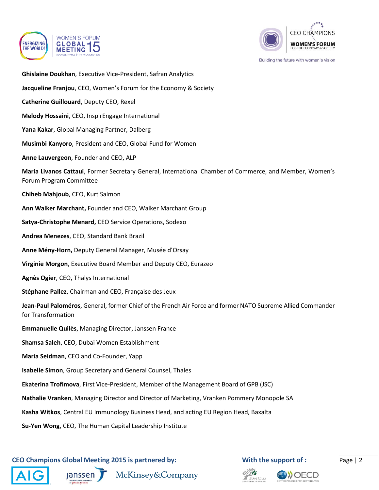



Building the future with women's vision

- **Ghislaine Doukhan**, Executive Vice-President, Safran Analytics
- **Jacqueline Franjou**, CEO, Women's Forum for the Economy & Society
- **Catherine Guillouard**, Deputy CEO, Rexel
- **Melody Hossaini**, CEO, InspirEngage International
- **Yana Kakar**, Global Managing Partner, Dalberg
- **Musimbi Kanyoro**, President and CEO, Global Fund for Women
- **Anne Lauvergeon**, Founder and CEO, ALP
- **Maria Livanos Cattaui**, Former Secretary General, International Chamber of Commerce, and Member, Women's Forum Program Committee
- **Chiheb Mahjoub**, CEO, Kurt Salmon
- **Ann Walker Marchant,** Founder and CEO, Walker Marchant Group
- **Satya-Christophe Menard,** CEO Service Operations, Sodexo
- **Andrea Menezes**, CEO, Standard Bank Brazil
- **Anne Mény-Horn,** Deputy General Manager, Musée d'Orsay
- **Virginie Morgon**, Executive Board Member and Deputy CEO, Eurazeo
- **Agnès Ogier**, CEO, Thalys International
- **Stéphane Pallez**, Chairman and CEO, Française des Jeux
- **Jean-Paul Paloméros**, General, former Chief of the French Air Force and former NATO Supreme Allied Commander for Transformation
- **Emmanuelle Quilès**, Managing Director, Janssen France
- **Shamsa Saleh**, CEO, Dubai Women Establishment
- **Maria Seidman**, CEO and Co-Founder, Yapp
- **Isabelle Simon**, Group Secretary and General Counsel, Thales
- **Ekaterina Trofimova**, First Vice-President, Member of the Management Board of GPB (JSC)
- **Nathalie Vranken**, Managing Director and Director of Marketing, Vranken Pommery Monopole SA
- **Kasha Witkos**, Central EU Immunology Business Head, and acting EU Region Head, Baxalta
- **Su-Yen Wong**, CEO, The Human Capital Leadership Institute

**CEO Champions Global Meeting 2015 is partnered by: With the support of :** Page | 2